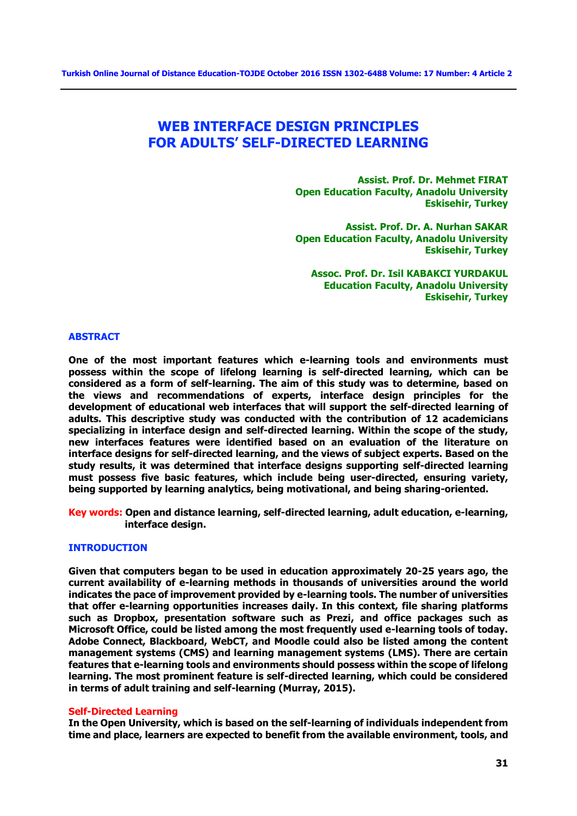# **WEB INTERFACE DESIGN PRINCIPLES FOR ADULTS' SELF-DIRECTED LEARNING**

**Assist. Prof. Dr. Mehmet FIRAT Open Education Faculty, Anadolu University Eskisehir, Turkey** 

**Assist. Prof. Dr. A. Nurhan SAKAR Open Education Faculty, Anadolu University Eskisehir, Turkey** 

**Assoc. Prof. Dr. Isil KABAKCI YURDAKUL Education Faculty, Anadolu University Eskisehir, Turkey** 

#### **ABSTRACT**

**One of the most important features which e-learning tools and environments must possess within the scope of lifelong learning is self-directed learning, which can be considered as a form of self-learning. The aim of this study was to determine, based on the views and recommendations of experts, interface design principles for the development of educational web interfaces that will support the self-directed learning of adults. This descriptive study was conducted with the contribution of 12 academicians specializing in interface design and self-directed learning. Within the scope of the study, new interfaces features were identified based on an evaluation of the literature on interface designs for self-directed learning, and the views of subject experts. Based on the study results, it was determined that interface designs supporting self-directed learning must possess five basic features, which include being user-directed, ensuring variety, being supported by learning analytics, being motivational, and being sharing-oriented.** 

**Key words: Open and distance learning, self-directed learning, adult education, e-learning, interface design.** 

## **INTRODUCTION**

**Given that computers began to be used in education approximately 20-25 years ago, the current availability of e-learning methods in thousands of universities around the world indicates the pace of improvement provided by e-learning tools. The number of universities that offer e-learning opportunities increases daily. In this context, file sharing platforms such as Dropbox, presentation software such as Prezi, and office packages such as Microsoft Office, could be listed among the most frequently used e-learning tools of today. Adobe Connect, Blackboard, WebCT, and Moodle could also be listed among the content management systems (CMS) and learning management systems (LMS). There are certain features that e-learning tools and environments should possess within the scope of lifelong learning. The most prominent feature is self-directed learning, which could be considered in terms of adult training and self-learning (Murray, 2015).** 

#### **Self-Directed Learning**

**In the Open University, which is based on the self-learning of individuals independent from time and place, learners are expected to benefit from the available environment, tools, and**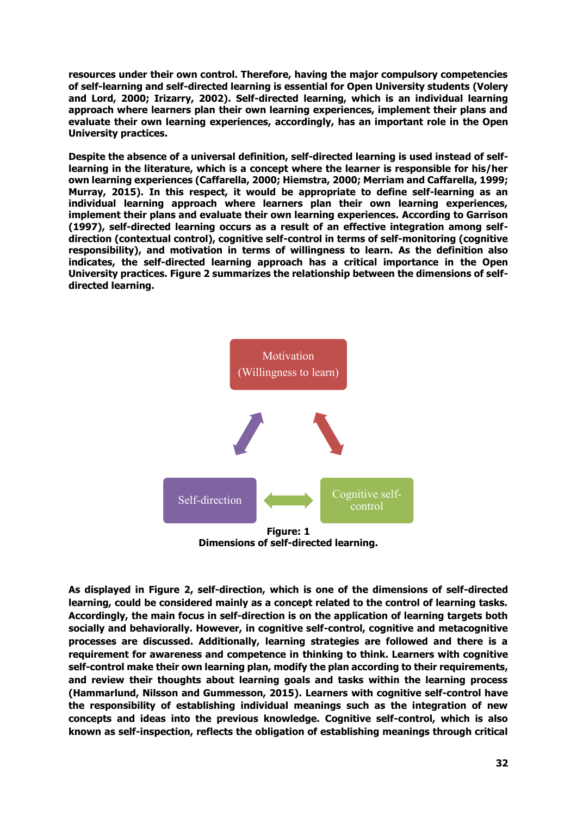**resources under their own control. Therefore, having the major compulsory competencies of self-learning and self-directed learning is essential for Open University students (Volery and Lord, 2000; Irizarry, 2002). Self-directed learning, which is an individual learning approach where learners plan their own learning experiences, implement their plans and evaluate their own learning experiences, accordingly, has an important role in the Open University practices.** 

**Despite the absence of a universal definition, self-directed learning is used instead of selflearning in the literature, which is a concept where the learner is responsible for his/her own learning experiences (Caffarella, 2000; Hiemstra, 2000; Merriam and Caffarella, 1999; Murray, 2015). In this respect, it would be appropriate to define self-learning as an individual learning approach where learners plan their own learning experiences, implement their plans and evaluate their own learning experiences. According to Garrison (1997), self-directed learning occurs as a result of an effective integration among selfdirection (contextual control), cognitive self-control in terms of self-monitoring (cognitive responsibility), and motivation in terms of willingness to learn. As the definition also indicates, the self-directed learning approach has a critical importance in the Open University practices. Figure 2 summarizes the relationship between the dimensions of selfdirected learning.** 



**Dimensions of self-directed learning.** 

**As displayed in Figure 2, self-direction, which is one of the dimensions of self-directed learning, could be considered mainly as a concept related to the control of learning tasks. Accordingly, the main focus in self-direction is on the application of learning targets both socially and behaviorally. However, in cognitive self-control, cognitive and metacognitive processes are discussed. Additionally, learning strategies are followed and there is a requirement for awareness and competence in thinking to think. Learners with cognitive self-control make their own learning plan, modify the plan according to their requirements, and review their thoughts about learning goals and tasks within the learning process (Hammarlund, Nilsson and Gummesson, 2015). Learners with cognitive self-control have the responsibility of establishing individual meanings such as the integration of new concepts and ideas into the previous knowledge. Cognitive self-control, which is also known as self-inspection, reflects the obligation of establishing meanings through critical**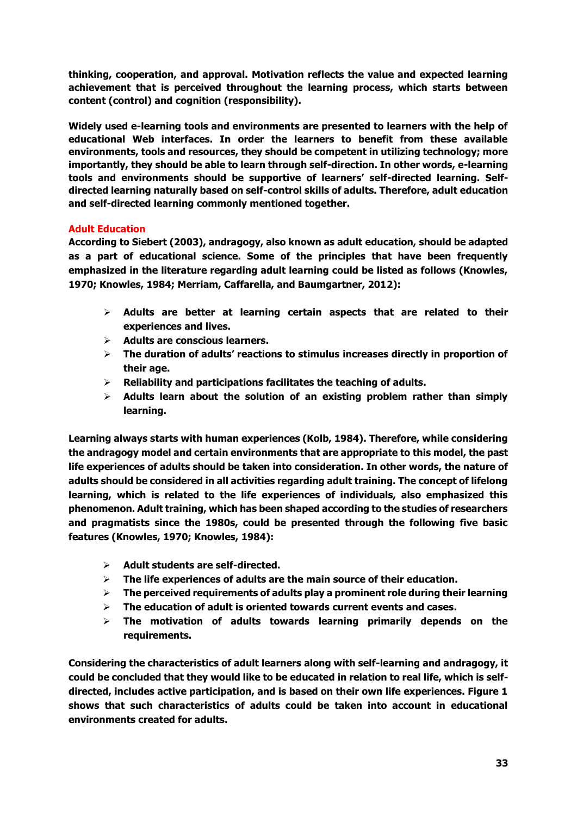**thinking, cooperation, and approval. Motivation reflects the value and expected learning achievement that is perceived throughout the learning process, which starts between content (control) and cognition (responsibility).** 

**Widely used e-learning tools and environments are presented to learners with the help of educational Web interfaces. In order the learners to benefit from these available environments, tools and resources, they should be competent in utilizing technology; more importantly, they should be able to learn through self-direction. In other words, e-learning tools and environments should be supportive of learners' self-directed learning. Selfdirected learning naturally based on self-control skills of adults. Therefore, adult education and self-directed learning commonly mentioned together.** 

# **Adult Education**

**According to Siebert (2003), andragogy, also known as adult education, should be adapted as a part of educational science. Some of the principles that have been frequently emphasized in the literature regarding adult learning could be listed as follows (Knowles, 1970; Knowles, 1984; Merriam, Caffarella, and Baumgartner, 2012):** 

- **Adults are better at learning certain aspects that are related to their experiences and lives.**
- **Adults are conscious learners.**
- **The duration of adults' reactions to stimulus increases directly in proportion of their age.**
- **Reliability and participations facilitates the teaching of adults.**
- **Adults learn about the solution of an existing problem rather than simply learning.**

**Learning always starts with human experiences (Kolb, 1984). Therefore, while considering the andragogy model and certain environments that are appropriate to this model, the past life experiences of adults should be taken into consideration. In other words, the nature of adults should be considered in all activities regarding adult training. The concept of lifelong learning, which is related to the life experiences of individuals, also emphasized this phenomenon. Adult training, which has been shaped according to the studies of researchers and pragmatists since the 1980s, could be presented through the following five basic features (Knowles, 1970; Knowles, 1984):** 

- **Adult students are self-directed.**
- **The life experiences of adults are the main source of their education.**
- **The perceived requirements of adults play a prominent role during their learning**
- **The education of adult is oriented towards current events and cases.**
- **The motivation of adults towards learning primarily depends on the requirements.**

**Considering the characteristics of adult learners along with self-learning and andragogy, it could be concluded that they would like to be educated in relation to real life, which is selfdirected, includes active participation, and is based on their own life experiences. Figure 1 shows that such characteristics of adults could be taken into account in educational environments created for adults.**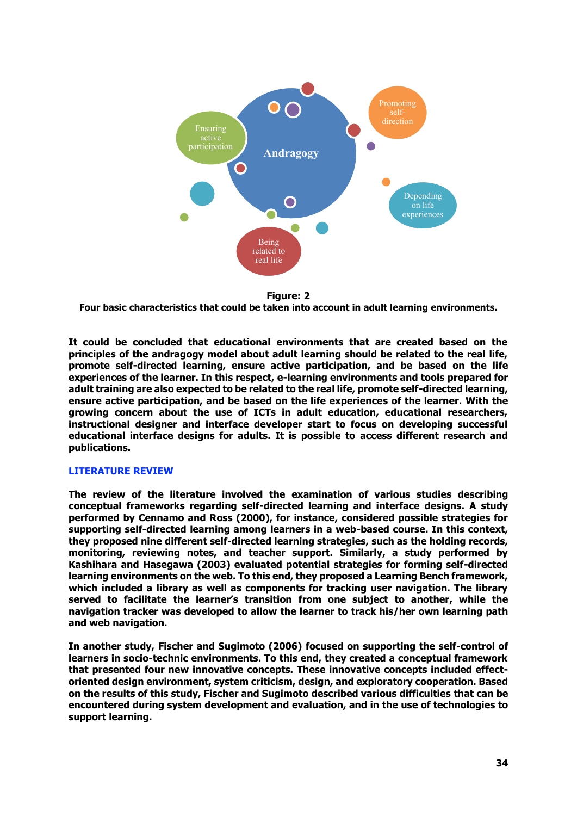

**Figure: 2** 

**Four basic characteristics that could be taken into account in adult learning environments.** 

**It could be concluded that educational environments that are created based on the principles of the andragogy model about adult learning should be related to the real life, promote self-directed learning, ensure active participation, and be based on the life experiences of the learner. In this respect, e-learning environments and tools prepared for adult training are also expected to be related to the real life, promote self-directed learning, ensure active participation, and be based on the life experiences of the learner. With the growing concern about the use of ICTs in adult education, educational researchers, instructional designer and interface developer start to focus on developing successful educational interface designs for adults. It is possible to access different research and publications.** 

# **LITERATURE REVIEW**

**The review of the literature involved the examination of various studies describing conceptual frameworks regarding self-directed learning and interface designs. A study performed by Cennamo and Ross (2000), for instance, considered possible strategies for supporting self-directed learning among learners in a web-based course. In this context, they proposed nine different self-directed learning strategies, such as the holding records, monitoring, reviewing notes, and teacher support. Similarly, a study performed by Kashihara and Hasegawa (2003) evaluated potential strategies for forming self-directed learning environments on the web. To this end, they proposed a Learning Bench framework, which included a library as well as components for tracking user navigation. The library served to facilitate the learner's transition from one subject to another, while the navigation tracker was developed to allow the learner to track his/her own learning path and web navigation.** 

**In another study, Fischer and Sugimoto (2006) focused on supporting the self-control of learners in socio-technic environments. To this end, they created a conceptual framework that presented four new innovative concepts. These innovative concepts included effectoriented design environment, system criticism, design, and exploratory cooperation. Based on the results of this study, Fischer and Sugimoto described various difficulties that can be encountered during system development and evaluation, and in the use of technologies to support learning.**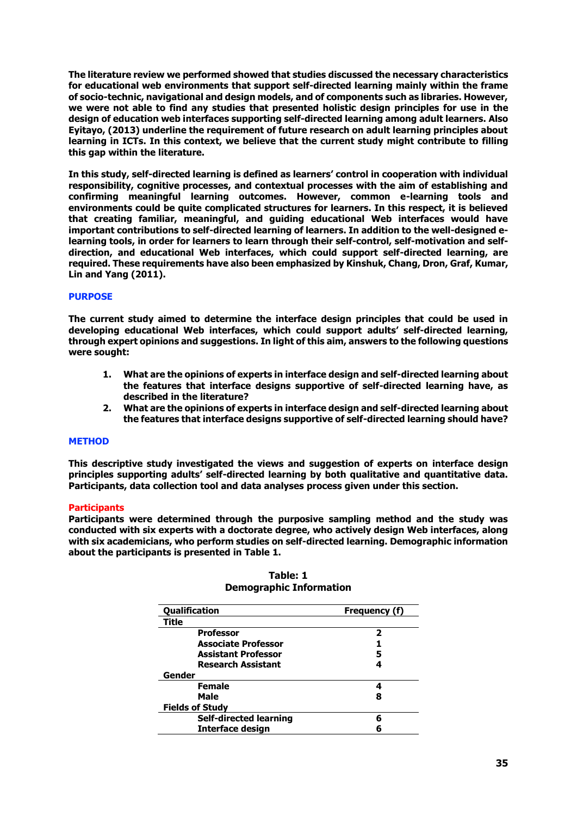**The literature review we performed showed that studies discussed the necessary characteristics for educational web environments that support self-directed learning mainly within the frame of socio-technic, navigational and design models, and of components such as libraries. However, we were not able to find any studies that presented holistic design principles for use in the design of education web interfaces supporting self-directed learning among adult learners. Also Eyitayo, (2013) underline the requirement of future research on adult learning principles about learning in ICTs. In this context, we believe that the current study might contribute to filling this gap within the literature.** 

**In this study, self-directed learning is defined as learners' control in cooperation with individual responsibility, cognitive processes, and contextual processes with the aim of establishing and confirming meaningful learning outcomes. However, common e-learning tools and environments could be quite complicated structures for learners. In this respect, it is believed that creating familiar, meaningful, and guiding educational Web interfaces would have important contributions to self-directed learning of learners. In addition to the well-designed elearning tools, in order for learners to learn through their self-control, self-motivation and selfdirection, and educational Web interfaces, which could support self-directed learning, are required. These requirements have also been emphasized by Kinshuk, Chang, Dron, Graf, Kumar, Lin and Yang (2011).** 

### **PURPOSE**

**The current study aimed to determine the interface design principles that could be used in developing educational Web interfaces, which could support adults' self-directed learning, through expert opinions and suggestions. In light of this aim, answers to the following questions were sought:** 

- **1. What are the opinions of experts in interface design and self-directed learning about the features that interface designs supportive of self-directed learning have, as described in the literature?**
- **2. What are the opinions of experts in interface design and self-directed learning about the features that interface designs supportive of self-directed learning should have?**

#### **METHOD**

**This descriptive study investigated the views and suggestion of experts on interface design principles supporting adults' self-directed learning by both qualitative and quantitative data. Participants, data collection tool and data analyses process given under this section.** 

#### **Participants**

**Participants were determined through the purposive sampling method and the study was conducted with six experts with a doctorate degree, who actively design Web interfaces, along with six academicians, who perform studies on self-directed learning. Demographic information about the participants is presented in Table 1.** 

| Qualification              | Frequency (f) |  |  |  |  |  |
|----------------------------|---------------|--|--|--|--|--|
| Title                      |               |  |  |  |  |  |
| <b>Professor</b>           | 2             |  |  |  |  |  |
| <b>Associate Professor</b> |               |  |  |  |  |  |
| <b>Assistant Professor</b> | 5             |  |  |  |  |  |
| <b>Research Assistant</b>  |               |  |  |  |  |  |
| Gender                     |               |  |  |  |  |  |
| <b>Female</b>              | 4             |  |  |  |  |  |
| Male                       | 8             |  |  |  |  |  |
| <b>Fields of Study</b>     |               |  |  |  |  |  |
| Self-directed learning     | 6             |  |  |  |  |  |
| <b>Interface design</b>    |               |  |  |  |  |  |

**Table: 1 Demographic Information**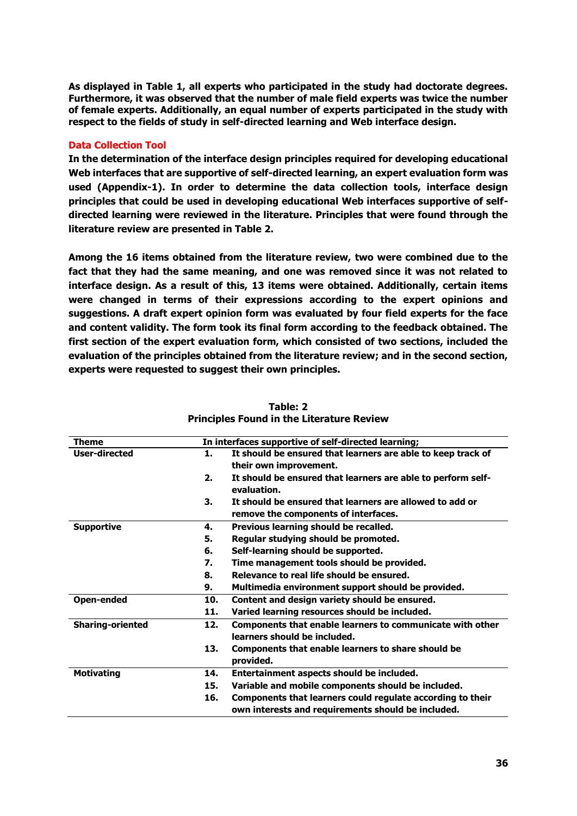**As displayed in Table 1, all experts who participated in the study had doctorate degrees. Furthermore, it was observed that the number of male field experts was twice the number of female experts. Additionally, an equal number of experts participated in the study with respect to the fields of study in self-directed learning and Web interface design.** 

# **Data Collection Tool**

**In the determination of the interface design principles required for developing educational Web interfaces that are supportive of self-directed learning, an expert evaluation form was used (Appendix-1). In order to determine the data collection tools, interface design principles that could be used in developing educational Web interfaces supportive of selfdirected learning were reviewed in the literature. Principles that were found through the literature review are presented in Table 2.** 

**Among the 16 items obtained from the literature review, two were combined due to the fact that they had the same meaning, and one was removed since it was not related to interface design. As a result of this, 13 items were obtained. Additionally, certain items were changed in terms of their expressions according to the expert opinions and suggestions. A draft expert opinion form was evaluated by four field experts for the face and content validity. The form took its final form according to the feedback obtained. The first section of the expert evaluation form, which consisted of two sections, included the evaluation of the principles obtained from the literature review; and in the second section, experts were requested to suggest their own principles.** 

|     | In interfaces supportive of self-directed learning;                                                              |
|-----|------------------------------------------------------------------------------------------------------------------|
| 1.  | It should be ensured that learners are able to keep track of<br>their own improvement.                           |
| 2.  | It should be ensured that learners are able to perform self-<br>evaluation.                                      |
| 3.  | It should be ensured that learners are allowed to add or<br>remove the components of interfaces.                 |
| 4.  | Previous learning should be recalled.                                                                            |
| 5.  | Regular studying should be promoted.                                                                             |
| 6.  | Self-learning should be supported.                                                                               |
| 7.  | Time management tools should be provided.                                                                        |
| 8.  | Relevance to real life should be ensured.                                                                        |
| 9.  | Multimedia environment support should be provided.                                                               |
| 10. | Content and design variety should be ensured.                                                                    |
| 11. | Varied learning resources should be included.                                                                    |
| 12. | Components that enable learners to communicate with other<br>learners should be included.                        |
| 13. | Components that enable learners to share should be<br>provided.                                                  |
| 14. | Entertainment aspects should be included.                                                                        |
| 15. | Variable and mobile components should be included.                                                               |
| 16. | Components that learners could regulate according to their<br>own interests and requirements should be included. |
|     |                                                                                                                  |

**Table: 2 Principles Found in the Literature Review**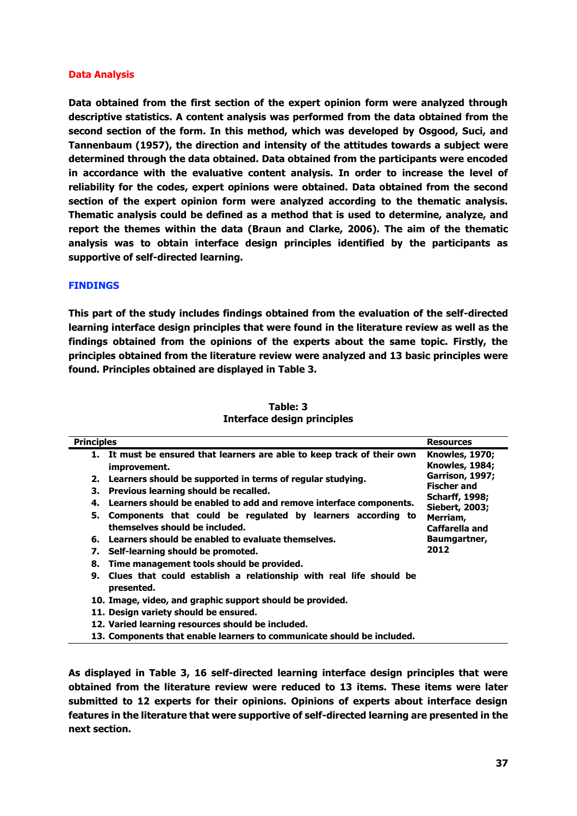### **Data Analysis**

**Data obtained from the first section of the expert opinion form were analyzed through descriptive statistics. A content analysis was performed from the data obtained from the second section of the form. In this method, which was developed by Osgood, Suci, and Tannenbaum (1957), the direction and intensity of the attitudes towards a subject were determined through the data obtained. Data obtained from the participants were encoded in accordance with the evaluative content analysis. In order to increase the level of reliability for the codes, expert opinions were obtained. Data obtained from the second section of the expert opinion form were analyzed according to the thematic analysis. Thematic analysis could be defined as a method that is used to determine, analyze, and report the themes within the data (Braun and Clarke, 2006). The aim of the thematic analysis was to obtain interface design principles identified by the participants as supportive of self-directed learning.** 

### **FINDINGS**

**This part of the study includes findings obtained from the evaluation of the self-directed learning interface design principles that were found in the literature review as well as the findings obtained from the opinions of the experts about the same topic. Firstly, the principles obtained from the literature review were analyzed and 13 basic principles were found. Principles obtained are displayed in Table 3.**

| <b>Principles</b>                                                                                   | <b>Resources</b>                               |
|-----------------------------------------------------------------------------------------------------|------------------------------------------------|
| 1. It must be ensured that learners are able to keep track of their own<br>improvement.             | <b>Knowles, 1970;</b><br><b>Knowles, 1984;</b> |
| Learners should be supported in terms of regular studying.<br>2.                                    | Garrison, 1997;<br><b>Fischer and</b>          |
| Previous learning should be recalled.<br>З.                                                         | <b>Scharff, 1998;</b>                          |
| Learners should be enabled to add and remove interface components.<br>4.                            | <b>Siebert, 2003;</b>                          |
| 5.<br>Components that could be regulated by learners according to<br>themselves should be included. | Merriam,<br>Caffarella and                     |
| Learners should be enabled to evaluate themselves.<br>6.                                            | Baumgartner,                                   |
| Self-learning should be promoted.<br>7.                                                             | 2012                                           |
| Time management tools should be provided.<br>8.                                                     |                                                |
| Clues that could establish a relationship with real life should be<br>9.<br>presented.              |                                                |
| 10. Image, video, and graphic support should be provided.                                           |                                                |
| 11. Design variety should be ensured.                                                               |                                                |
| 12. Varied learning resources should be included.                                                   |                                                |
| 13. Components that enable learners to communicate should be included.                              |                                                |

**Table: 3 Interface design principles** 

**As displayed in Table 3, 16 self-directed learning interface design principles that were obtained from the literature review were reduced to 13 items. These items were later submitted to 12 experts for their opinions. Opinions of experts about interface design features in the literature that were supportive of self-directed learning are presented in the next section.**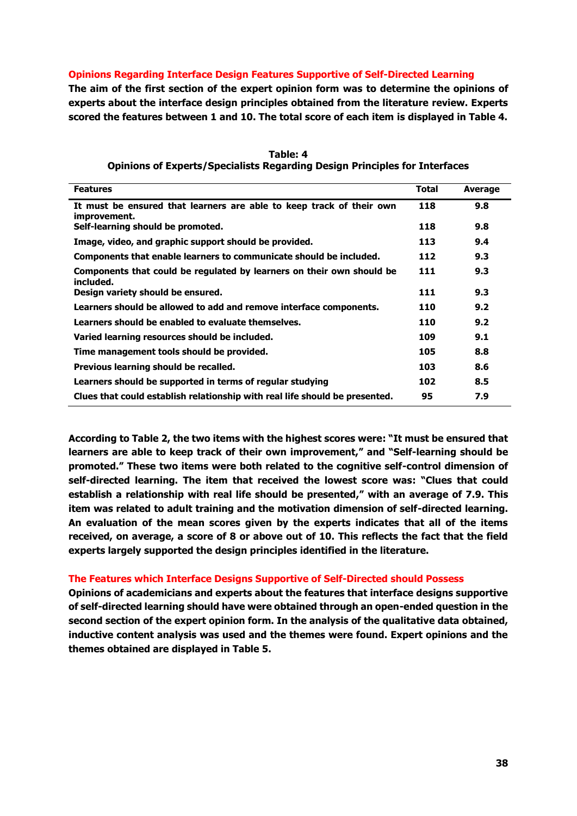## **Opinions Regarding Interface Design Features Supportive of Self-Directed Learning**

**The aim of the first section of the expert opinion form was to determine the opinions of experts about the interface design principles obtained from the literature review. Experts scored the features between 1 and 10. The total score of each item is displayed in Table 4.** 

| <b>Features</b>                                                                      | <b>Total</b> | <b>Average</b> |
|--------------------------------------------------------------------------------------|--------------|----------------|
| It must be ensured that learners are able to keep track of their own<br>improvement. | 118          | 9.8            |
| Self-learning should be promoted.                                                    | 118          | 9.8            |
| Image, video, and graphic support should be provided.                                | 113          | 9.4            |
| Components that enable learners to communicate should be included.                   | 112          | 9.3            |
| Components that could be regulated by learners on their own should be<br>included.   | 111          | 9.3            |
| Design variety should be ensured.                                                    | 111          | 9.3            |
| Learners should be allowed to add and remove interface components.                   | 110          | 9.2            |
| Learners should be enabled to evaluate themselves.                                   | 110          | 9.2            |
| Varied learning resources should be included.                                        | 109          | 9.1            |
| Time management tools should be provided.                                            | 105          | 8.8            |
| Previous learning should be recalled.                                                | 103          | 8.6            |
| Learners should be supported in terms of regular studying                            | 102          | 8.5            |
| Clues that could establish relationship with real life should be presented.          | 95           | 7.9            |

**Table: 4 Opinions of Experts/Specialists Regarding Design Principles for Interfaces** 

**According to Table 2, the two items with the highest scores were: "It must be ensured that learners are able to keep track of their own improvement," and "Self-learning should be promoted." These two items were both related to the cognitive self-control dimension of self-directed learning. The item that received the lowest score was: "Clues that could establish a relationship with real life should be presented," with an average of 7.9. This item was related to adult training and the motivation dimension of self-directed learning. An evaluation of the mean scores given by the experts indicates that all of the items received, on average, a score of 8 or above out of 10. This reflects the fact that the field experts largely supported the design principles identified in the literature.** 

#### **The Features which Interface Designs Supportive of Self-Directed should Possess**

**Opinions of academicians and experts about the features that interface designs supportive of self-directed learning should have were obtained through an open-ended question in the second section of the expert opinion form. In the analysis of the qualitative data obtained, inductive content analysis was used and the themes were found. Expert opinions and the themes obtained are displayed in Table 5.**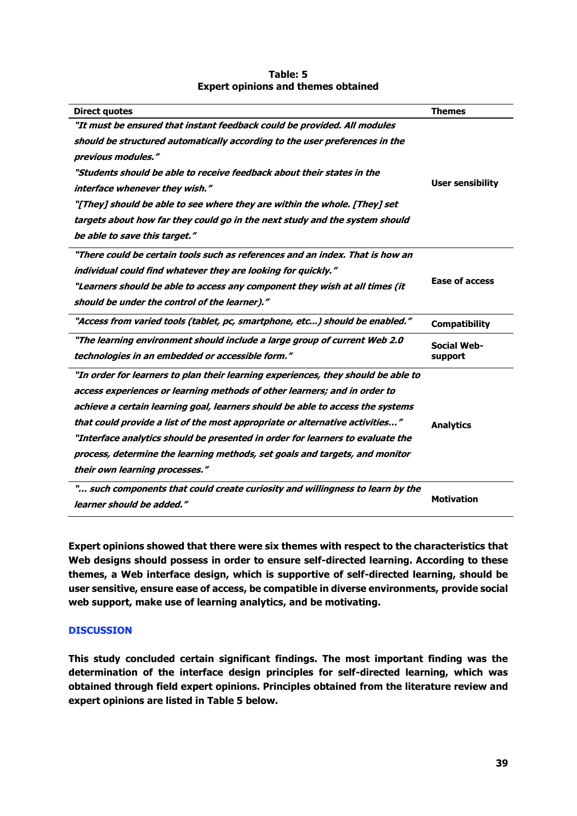| <b>Direct quotes</b>                                                              | <b>Themes</b>           |  |  |  |
|-----------------------------------------------------------------------------------|-------------------------|--|--|--|
| "It must be ensured that instant feedback could be provided. All modules          |                         |  |  |  |
| should be structured automatically according to the user preferences in the       |                         |  |  |  |
| previous modules."                                                                |                         |  |  |  |
| "Students should be able to receive feedback about their states in the            |                         |  |  |  |
| interface whenever they wish."                                                    | <b>User sensibility</b> |  |  |  |
| "[They] should be able to see where they are within the whole. [They] set         |                         |  |  |  |
| targets about how far they could go in the next study and the system should       |                         |  |  |  |
| be able to save this target."                                                     |                         |  |  |  |
| "There could be certain tools such as references and an index. That is how an     |                         |  |  |  |
| individual could find whatever they are looking for quickly."                     |                         |  |  |  |
| "Learners should be able to access any component they wish at all times (it       | <b>Ease of access</b>   |  |  |  |
| should be under the control of the learner)."                                     |                         |  |  |  |
| "Access from varied tools (tablet, pc, smartphone, etc) should be enabled."       | <b>Compatibility</b>    |  |  |  |
| "The learning environment should include a large group of current Web 2.0         | <b>Social Web-</b>      |  |  |  |
| technologies in an embedded or accessible form."                                  | support                 |  |  |  |
| "In order for learners to plan their learning experiences, they should be able to |                         |  |  |  |
| access experiences or learning methods of other learners; and in order to         |                         |  |  |  |
| achieve a certain learning goal, learners should be able to access the systems    |                         |  |  |  |
| that could provide a list of the most appropriate or alternative activities"      | <b>Analytics</b>        |  |  |  |
| "Interface analytics should be presented in order for learners to evaluate the    |                         |  |  |  |
| process, determine the learning methods, set goals and targets, and monitor       |                         |  |  |  |
| their own learning processes."                                                    |                         |  |  |  |
| " such components that could create curiosity and willingness to learn by the     |                         |  |  |  |
| learner should be added."                                                         | <b>Motivation</b>       |  |  |  |

# **Table: 5 Expert opinions and themes obtained**

**Expert opinions showed that there were six themes with respect to the characteristics that Web designs should possess in order to ensure self-directed learning. According to these themes, a Web interface design, which is supportive of self-directed learning, should be user sensitive, ensure ease of access, be compatible in diverse environments, provide social web support, make use of learning analytics, and be motivating.** 

# **DISCUSSION**

**This study concluded certain significant findings. The most important finding was the determination of the interface design principles for self-directed learning, which was obtained through field expert opinions. Principles obtained from the literature review and expert opinions are listed in Table 5 below.**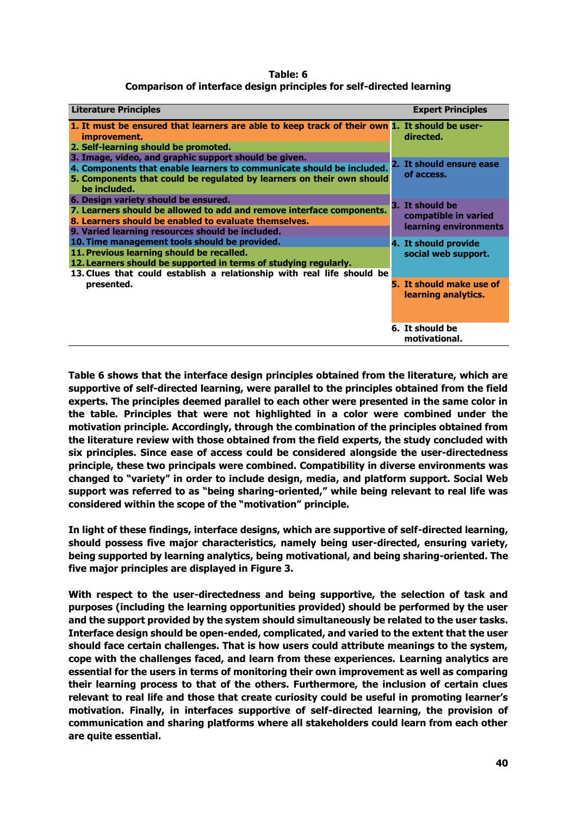**Table: 6 Comparison of interface design principles for self-directed learning** 

| <b>Literature Principles</b>                                                                                                                                                                                                             | <b>Expert Principles</b>                                         |
|------------------------------------------------------------------------------------------------------------------------------------------------------------------------------------------------------------------------------------------|------------------------------------------------------------------|
| 1. It must be ensured that learners are able to keep track of their own 1. It should be user-<br>improvement.<br>2. Self-learning should be promoted.                                                                                    | directed.                                                        |
| 3. Image, video, and graphic support should be given.<br>4. Components that enable learners to communicate should be included.<br>5. Components that could be regulated by learners on their own should<br>be included.                  | 2. It should ensure ease<br>of access.                           |
| 6. Design variety should be ensured.<br>7. Learners should be allowed to add and remove interface components.<br>8. Learners should be enabled to evaluate themselves.<br>9. Varied learning resources should be included.               | 3. It should be<br>compatible in varied<br>learning environments |
| 10. Time management tools should be provided.<br>11. Previous learning should be recalled.<br>12. Learners should be supported in terms of studying regularly.<br>13. Clues that could establish a relationship with real life should be | 4. It should provide<br>social web support.                      |
| presented.                                                                                                                                                                                                                               | 5. It should make use of<br>learning analytics.                  |
|                                                                                                                                                                                                                                          | 6. It should be<br>motivational.                                 |

**Table 6 shows that the interface design principles obtained from the literature, which are supportive of self-directed learning, were parallel to the principles obtained from the field experts. The principles deemed parallel to each other were presented in the same color in the table. Principles that were not highlighted in a color were combined under the motivation principle. Accordingly, through the combination of the principles obtained from the literature review with those obtained from the field experts, the study concluded with six principles. Since ease of access could be considered alongside the user-directedness principle, these two principals were combined. Compatibility in diverse environments was changed to "variety" in order to include design, media, and platform support. Social Web support was referred to as "being sharing-oriented," while being relevant to real life was considered within the scope of the "motivation" principle.** 

**In light of these findings, interface designs, which are supportive of self-directed learning, should possess five major characteristics, namely being user-directed, ensuring variety, being supported by learning analytics, being motivational, and being sharing-oriented. The five major principles are displayed in Figure 3.** 

**With respect to the user-directedness and being supportive, the selection of task and purposes (including the learning opportunities provided) should be performed by the user and the support provided by the system should simultaneously be related to the user tasks. Interface design should be open-ended, complicated, and varied to the extent that the user should face certain challenges. That is how users could attribute meanings to the system, cope with the challenges faced, and learn from these experiences. Learning analytics are essential for the users in terms of monitoring their own improvement as well as comparing their learning process to that of the others. Furthermore, the inclusion of certain clues relevant to real life and those that create curiosity could be useful in promoting learner's motivation. Finally, in interfaces supportive of self-directed learning, the provision of communication and sharing platforms where all stakeholders could learn from each other are quite essential.**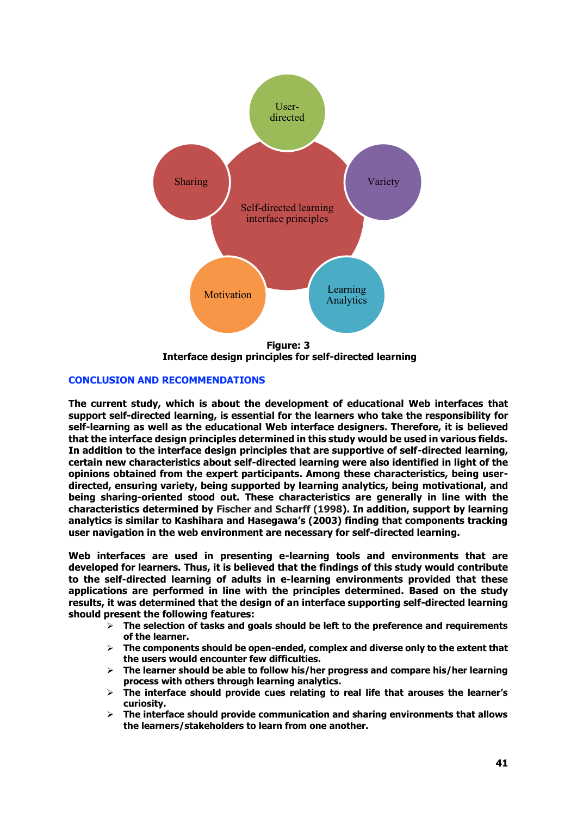

 **Interface design principles for self-directed learning** 

# **CONCLUSION AND RECOMMENDATIONS**

**The current study, which is about the development of educational Web interfaces that support self-directed learning, is essential for the learners who take the responsibility for self-learning as well as the educational Web interface designers. Therefore, it is believed that the interface design principles determined in this study would be used in various fields. In addition to the interface design principles that are supportive of self-directed learning, certain new characteristics about self-directed learning were also identified in light of the opinions obtained from the expert participants. Among these characteristics, being userdirected, ensuring variety, being supported by learning analytics, being motivational, and being sharing-oriented stood out. These characteristics are generally in line with the characteristics determined by Fischer and Scharff (1998). In addition, support by learning analytics is similar to Kashihara and Hasegawa's (2003) finding that components tracking user navigation in the web environment are necessary for self-directed learning.** 

**Web interfaces are used in presenting e-learning tools and environments that are developed for learners. Thus, it is believed that the findings of this study would contribute to the self-directed learning of adults in e-learning environments provided that these applications are performed in line with the principles determined. Based on the study results, it was determined that the design of an interface supporting self-directed learning should present the following features:** 

- **The selection of tasks and goals should be left to the preference and requirements of the learner.**
- $\triangleright$  The components should be open-ended, complex and diverse only to the extent that **the users would encounter few difficulties.**
- **The learner should be able to follow his/her progress and compare his/her learning process with others through learning analytics.**
- **The interface should provide cues relating to real life that arouses the learner's curiosity.**
- **The interface should provide communication and sharing environments that allows the learners/stakeholders to learn from one another.**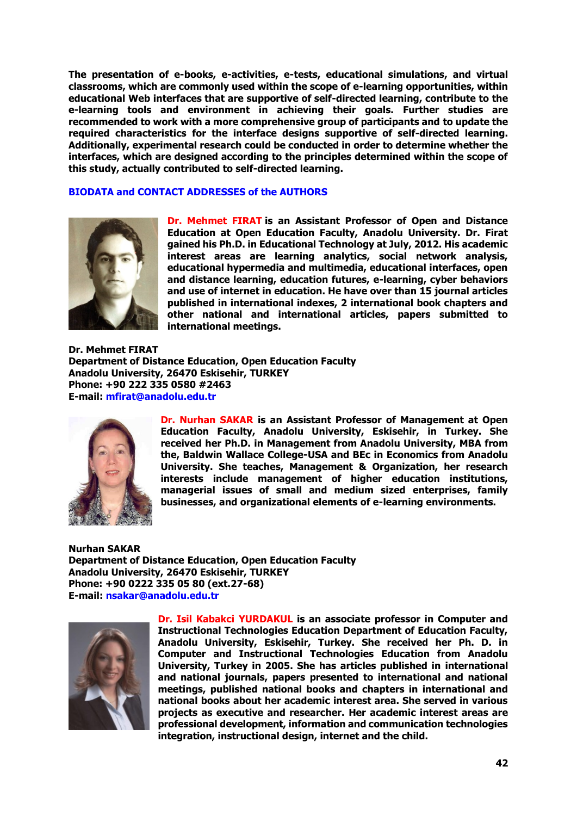**The presentation of e-books, e-activities, e-tests, educational simulations, and virtual classrooms, which are commonly used within the scope of e-learning opportunities, within educational Web interfaces that are supportive of self-directed learning, contribute to the e-learning tools and environment in achieving their goals. Further studies are recommended to work with a more comprehensive group of participants and to update the required characteristics for the interface designs supportive of self-directed learning. Additionally, experimental research could be conducted in order to determine whether the interfaces, which are designed according to the principles determined within the scope of this study, actually contributed to self-directed learning.** 

### **BIODATA and CONTACT ADDRESSES of the AUTHORS**



**Dr. Mehmet FIRAT is an Assistant Professor of Open and Distance Education at Open Education Faculty, Anadolu University. Dr. Firat gained his Ph.D. in Educational Technology at July, 2012. His academic interest areas are learning analytics, social network analysis, educational hypermedia and multimedia, educational interfaces, open and distance learning, education futures, e-learning, cyber behaviors and use of internet in education. He have over than 15 journal articles published in international indexes, 2 international book chapters and other national and international articles, papers submitted to international meetings.** 

**Dr. Mehmet FIRAT Department of Distance Education, Open Education Faculty Anadolu University, 26470 Eskisehir, TURKEY Phone: +90 222 335 0580 #2463 E-mail: [mfirat@anadolu.edu.tr](mailto:mfirat@anadolu.edu.tr)** 



**Dr. Nurhan SAKAR is an Assistant Professor of Management at Open Education Faculty, Anadolu University, Eskisehir, in Turkey. She received her Ph.D. in Management from Anadolu University, MBA from the, Baldwin Wallace College-USA and BEc in Economics from Anadolu University. She teaches, Management & Organization, her research interests include management of higher education institutions, managerial issues of small and medium sized enterprises, family businesses, and organizational elements of e-learning environments.** 

**Nurhan SAKAR Department of Distance Education, Open Education Faculty Anadolu University, 26470 Eskisehir, TURKEY Phone: +90 0222 335 05 80 (ext.27-68) E-mail: nsakar@anadolu.edu.tr**



**Dr. Isil Kabakci YURDAKUL is an associate professor in Computer and Instructional Technologies Education Department of Education Faculty, Anadolu University, Eskisehir, Turkey. She received her Ph. D. in Computer and Instructional Technologies Education from Anadolu University, Turkey in 2005. She has articles published in international and national journals, papers presented to international and national meetings, published national books and chapters in international and national books about her academic interest area. She served in various projects as executive and researcher. Her academic interest areas are professional development, information and communication technologies integration, instructional design, internet and the child.**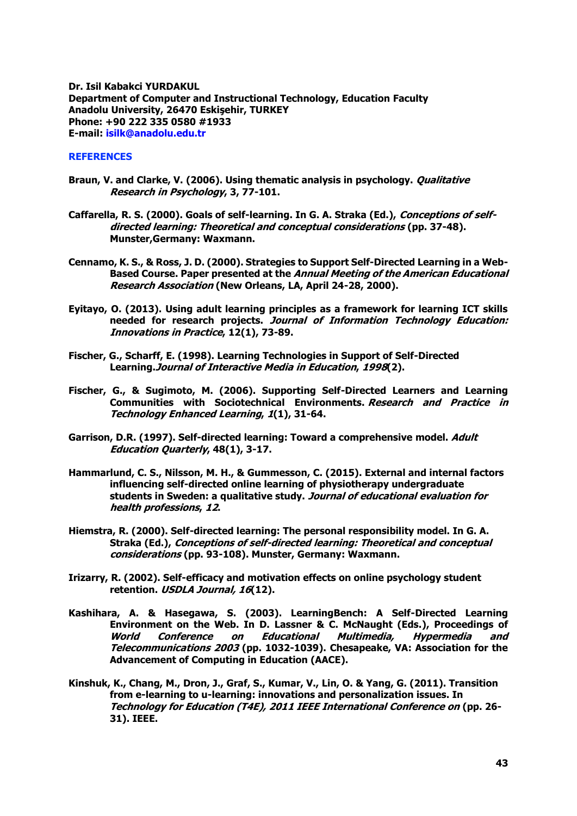**Dr. Isil Kabakci YURDAKUL Department of Computer and Instructional Technology, Education Faculty Anadolu University, 26470 Eskişehir, TURKEY Phone: +90 222 335 0580 #1933 E-mail: [isilk@anadolu.edu.tr](mailto:isilk@anadolu.edu.tr)**

# **REFERENCES**

- **Braun, V. and Clarke, V. (2006). Using thematic analysis in psychology. Qualitative Research in Psychology, 3, 77-101.**
- **Caffarella, R. S. (2000). Goals of self-learning. In G. A. Straka (Ed.), Conceptions of selfdirected learning: Theoretical and conceptual considerations (pp. 37-48). Munster,Germany: Waxmann.**
- **Cennamo, K. S., & Ross, J. D. (2000). Strategies to Support Self-Directed Learning in a Web-Based Course. Paper presented at the Annual Meeting of the American Educational Research Association (New Orleans, LA, April 24-28, 2000).**
- **Eyitayo, O. (2013). Using adult learning principles as a framework for learning ICT skills needed for research projects. Journal of Information Technology Education: Innovations in Practice, 12(1), 73-89.**
- **Fischer, G., Scharff, E. (1998). Learning Technologies in Support of Self-Directed Learning.Journal of Interactive Media in Education, 1998(2).**
- **Fischer, G., & Sugimoto, M. (2006). Supporting Self-Directed Learners and Learning Communities with Sociotechnical Environments. Research and Practice in Technology Enhanced Learning, 1(1), 31-64.**
- **Garrison, D.R. (1997). Self-directed learning: Toward a comprehensive model. Adult Education Quarterly, 48(1), 3-17.**
- **Hammarlund, C. S., Nilsson, M. H., & Gummesson, C. (2015). External and internal factors influencing self-directed online learning of physiotherapy undergraduate students in Sweden: a qualitative study. Journal of educational evaluation for health professions, 12.**
- **Hiemstra, R. (2000). Self-directed learning: The personal responsibility model. In G. A. Straka (Ed.), Conceptions of self-directed learning: Theoretical and conceptual considerations (pp. 93-108). Munster, Germany: Waxmann.**
- **Irizarry, R. (2002). Self-efficacy and motivation effects on online psychology student retention. USDLA Journal, 16(12).**
- **Kashihara, A. & Hasegawa, S. (2003). LearningBench: A Self-Directed Learning Environment on the Web. In D. Lassner & C. McNaught (Eds.), Proceedings of World Conference on Educational Multimedia, Hypermedia and Telecommunications 2003 (pp. 1032-1039). Chesapeake, VA: Association for the Advancement of Computing in Education (AACE).**
- **Kinshuk, K., Chang, M., Dron, J., Graf, S., Kumar, V., Lin, O. & Yang, G. (2011). Transition from e-learning to u-learning: innovations and personalization issues. In Technology for Education (T4E), 2011 IEEE International Conference on (pp. 26- 31). IEEE.**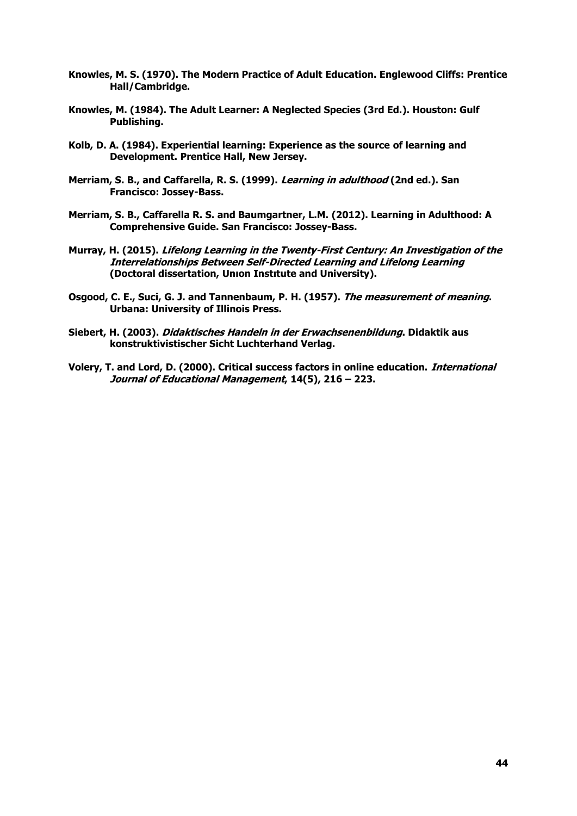- **Knowles, M. S. (1970). The Modern Practice of Adult Education. Englewood Cliffs: Prentice Hall/Cambridge.**
- **Knowles, M. (1984). The Adult Learner: A Neglected Species (3rd Ed.). Houston: Gulf Publishing.**
- **Kolb, D. A. (1984). Experiential learning: Experience as the source of learning and Development. Prentice Hall, New Jersey.**
- **Merriam, S. B., and Caffarella, R. S. (1999). Learning in adulthood (2nd ed.). San Francisco: Jossey-Bass.**
- **Merriam, S. B., Caffarella R. S. and Baumgartner, L.M. (2012). Learning in Adulthood: A Comprehensive Guide. San Francisco: Jossey-Bass.**
- **Murray, H. (2015). Lifelong Learning in the Twenty-First Century: An Investigation of the Interrelationships Between Self-Directed Learning and Lifelong Learning (Doctoral dissertation, Unıon Instıtute and University).**
- **Osgood, C. E., Suci, G. J. and Tannenbaum, P. H. (1957). The measurement of meaning. Urbana: University of Illinois Press.**
- **Siebert, H. (2003). Didaktisches Handeln in der Erwachsenenbildung. Didaktik aus konstruktivistischer Sicht Luchterhand Verlag.**
- **Volery, T. and Lord, D. (2000). Critical success factors in online education. International Journal of Educational Management, 14(5), 216 – 223.**